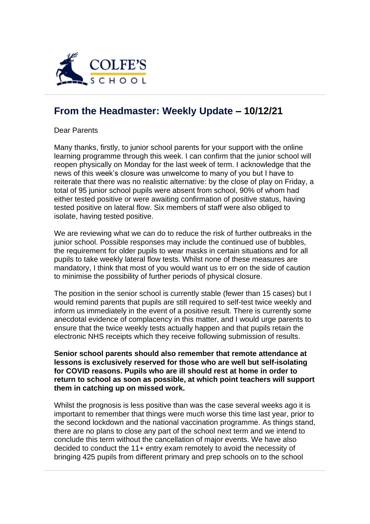

## **[From the Headmaster: Weekly Update](https://urlsand.esvalabs.com/?u=https%3A%2F%2Fschoolpostcdn.blob.core.windows.net%2Fpublic%2F~%2Femail-test-message.html&e=f4e25f66&h=847ca343&f=y&p=y) – 10/12/21**

Dear Parents

Many thanks, firstly, to junior school parents for your support with the online learning programme through this week. I can confirm that the junior school will reopen physically on Monday for the last week of term. I acknowledge that the news of this week's closure was unwelcome to many of you but I have to reiterate that there was no realistic alternative: by the close of play on Friday, a total of 95 junior school pupils were absent from school, 90% of whom had either tested positive or were awaiting confirmation of positive status, having tested positive on lateral flow. Six members of staff were also obliged to isolate, having tested positive.

We are reviewing what we can do to reduce the risk of further outbreaks in the junior school. Possible responses may include the continued use of bubbles, the requirement for older pupils to wear masks in certain situations and for all pupils to take weekly lateral flow tests. Whilst none of these measures are mandatory, I think that most of you would want us to err on the side of caution to minimise the possibility of further periods of physical closure.

The position in the senior school is currently stable (fewer than 15 cases) but I would remind parents that pupils are still required to self-test twice weekly and inform us immediately in the event of a positive result. There is currently some anecdotal evidence of complacency in this matter, and I would urge parents to ensure that the twice weekly tests actually happen and that pupils retain the electronic NHS receipts which they receive following submission of results.

**Senior school parents should also remember that remote attendance at lessons is exclusively reserved for those who are well but self-isolating for COVID reasons. Pupils who are ill should rest at home in order to return to school as soon as possible, at which point teachers will support them in catching up on missed work.**

Whilst the prognosis is less positive than was the case several weeks ago it is important to remember that things were much worse this time last year, prior to the second lockdown and the national vaccination programme. As things stand, there are no plans to close any part of the school next term and we intend to conclude this term without the cancellation of major events. We have also decided to conduct the 11+ entry exam remotely to avoid the necessity of bringing 425 pupils from different primary and prep schools on to the school